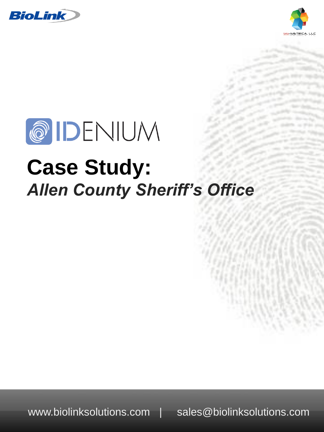





# **Case Study:** *Allen County Sheriff's Office*

www.biolinksolutions.com | sales@biolinksolutions.com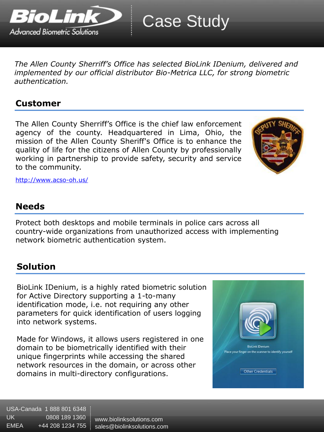

*The Allen County Sherriff's Office has selected BioLink IDenium, delivered and implemented by our official distributor Bio-Metrica LLC, for strong biometric authentication.*

### **Customer**

The Allen County Sherriff's Office is the chief law enforcement agency of the county. Headquartered in Lima, Ohio, the mission of the Allen County Sheriff's Office is to enhance the quality of life for the citizens of Allen County by professionally working in partnership to provide safety, security and service to the community.



<http://www.acso-oh.us/>

# **Needs**

Protect both desktops and mobile terminals in police cars across all country-wide organizations from unauthorized access with implementing network biometric authentication system.

# **Solution**

BioLink IDenium, is a highly rated biometric solution for Active Directory supporting a 1-to-many identification mode, i.e. not requiring any other parameters for quick identification of users logging into network systems.

Made for Windows, it allows users registered in one domain to be biometrically identified with their unique fingerprints while accessing the shared network resources in the domain, or across other domains in multi-directory configurations.



USA-Canada 1 888 801 6348 UK 0808 189 1360 EMEA +44 208 1234 755

www.biolinksolutions.com sales@biolinksolutions.com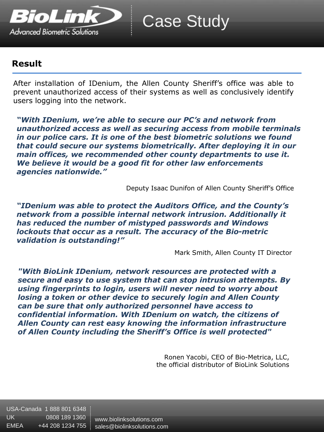

Case Study

## **Result**

After installation of IDenium, the Allen County Sheriff's office was able to prevent unauthorized access of their systems as well as conclusively identify users logging into the network.

*"With IDenium, we're able to secure our PC's and network from unauthorized access as well as securing access from mobile terminals in our police cars. It is one of the best biometric solutions we found that could secure our systems biometrically. After deploying it in our main offices, we recommended other county departments to use it. We believe it would be a good fit for other law enforcements agencies nationwide."*

Deputy Isaac Dunifon of Allen County Sheriff's Office

*"IDenium was able to protect the Auditors Office, and the County's network from a possible internal network intrusion. Additionally it has reduced the number of mistyped passwords and Windows lockouts that occur as a result. The accuracy of the Bio-metric validation is outstanding!"*

Mark Smith, Allen County IT Director

*"With BioLink IDenium, network resources are protected with a secure and easy to use system that can stop intrusion attempts. By using fingerprints to login, users will never need to worry about losing a token or other device to securely login and Allen County can be sure that only authorized personnel have access to confidential information. With IDenium on watch, the citizens of Allen County can rest easy knowing the information infrastructure of Allen County including the Sheriff's Office is well protected"*

> Ronen Yacobi, CEO of Bio-Metrica, LLC, the official distributor of BioLink Solutions

USA-Canada 1 888 801 6348 UK 0808 189 1360 EMEA +44 208 1234 755

www.biolinksolutions.com sales@biolinksolutions.com